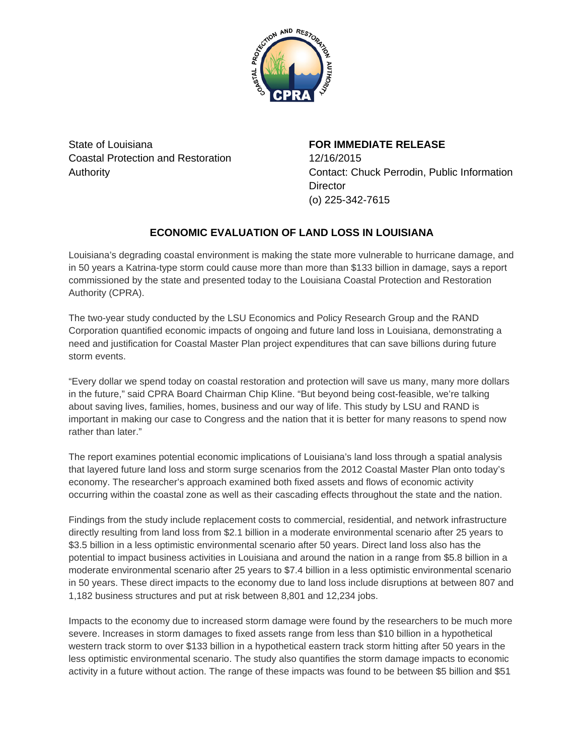

State of Louisiana Coastal Protection and Restoration Authority

**FOR IMMEDIATE RELEASE** 12/16/2015 Contact: Chuck Perrodin, Public Information **Director** (o) 225-342-7615

## **ECONOMIC EVALUATION OF LAND LOSS IN LOUISIANA**

Louisiana's degrading coastal environment is making the state more vulnerable to hurricane damage, and in 50 years a Katrina-type storm could cause more than more than \$133 billion in damage, says a report commissioned by the state and presented today to the Louisiana Coastal Protection and Restoration Authority (CPRA).

The two-year study conducted by the LSU Economics and Policy Research Group and the RAND Corporation quantified economic impacts of ongoing and future land loss in Louisiana, demonstrating a need and justification for Coastal Master Plan project expenditures that can save billions during future storm events.

"Every dollar we spend today on coastal restoration and protection will save us many, many more dollars in the future," said CPRA Board Chairman Chip Kline. "But beyond being cost-feasible, we're talking about saving lives, families, homes, business and our way of life. This study by LSU and RAND is important in making our case to Congress and the nation that it is better for many reasons to spend now rather than later."

The report examines potential economic implications of Louisiana's land loss through a spatial analysis that layered future land loss and storm surge scenarios from the 2012 Coastal Master Plan onto today's economy. The researcher's approach examined both fixed assets and flows of economic activity occurring within the coastal zone as well as their cascading effects throughout the state and the nation.

Findings from the study include replacement costs to commercial, residential, and network infrastructure directly resulting from land loss from \$2.1 billion in a moderate environmental scenario after 25 years to \$3.5 billion in a less optimistic environmental scenario after 50 years. Direct land loss also has the potential to impact business activities in Louisiana and around the nation in a range from \$5.8 billion in a moderate environmental scenario after 25 years to \$7.4 billion in a less optimistic environmental scenario in 50 years. These direct impacts to the economy due to land loss include disruptions at between 807 and 1,182 business structures and put at risk between 8,801 and 12,234 jobs.

Impacts to the economy due to increased storm damage were found by the researchers to be much more severe. Increases in storm damages to fixed assets range from less than \$10 billion in a hypothetical western track storm to over \$133 billion in a hypothetical eastern track storm hitting after 50 years in the less optimistic environmental scenario. The study also quantifies the storm damage impacts to economic activity in a future without action. The range of these impacts was found to be between \$5 billion and \$51